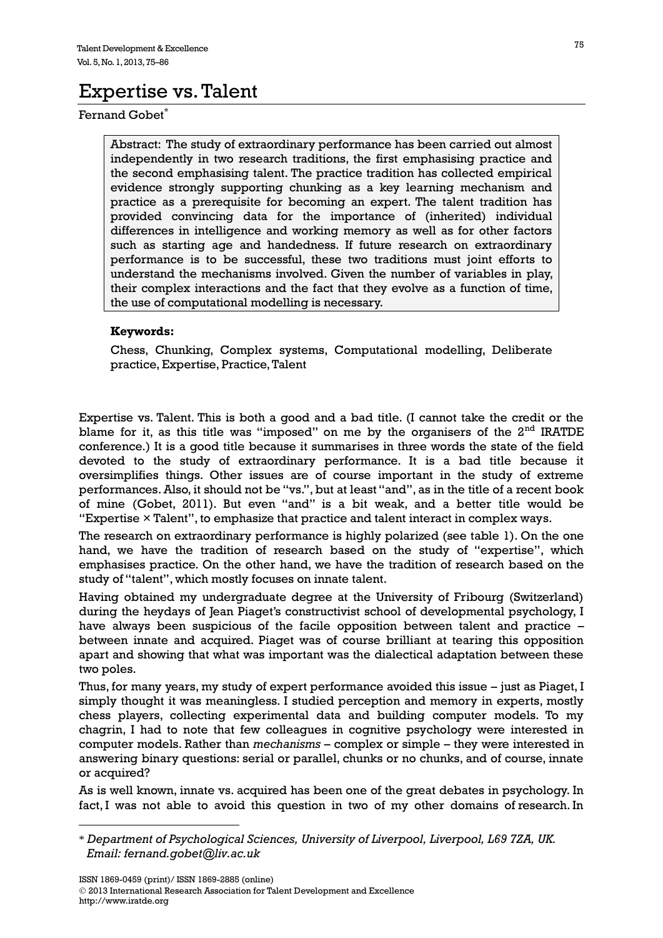# Expertise vs. Talent

## Fernand Gobet\*

Abstract: The study of extraordinary performance has been carried out almost independently in two research traditions, the first emphasising practice and the second emphasising talent. The practice tradition has collected empirical evidence strongly supporting chunking as a key learning mechanism and practice as a prerequisite for becoming an expert. The talent tradition has provided convincing data for the importance of (inherited) individual differences in intelligence and working memory as well as for other factors such as starting age and handedness. If future research on extraordinary performance is to be successful, these two traditions must joint efforts to understand the mechanisms involved. Given the number of variables in play, their complex interactions and the fact that they evolve as a function of time, the use of computational modelling is necessary.

## **Keywords:**

 $\overline{a}$ 

Chess, Chunking, Complex systems, Computational modelling, Deliberate practice, Expertise, Practice, Talent

Expertise vs. Talent. This is both a good and a bad title. (I cannot take the credit or the blame for it, as this title was "imposed" on me by the organisers of the  $2<sup>nd</sup>$  IRATDE conference.) It is a good title because it summarises in three words the state of the field devoted to the study of extraordinary performance. It is a bad title because it oversimplifies things. Other issues are of course important in the study of extreme performances. Also, it should not be "vs.", but at least "and", as in the title of a recent book of mine (Gobet, 2011). But even "and" is a bit weak, and a better title would be "Expertise  $\times$  Talent", to emphasize that practice and talent interact in complex ways.

The research on extraordinary performance is highly polarized (see table 1). On the one hand, we have the tradition of research based on the study of "expertise", which emphasises practice. On the other hand, we have the tradition of research based on the study of "talent", which mostly focuses on innate talent.

Having obtained my undergraduate degree at the University of Fribourg (Switzerland) during the heydays of Jean Piaget's constructivist school of developmental psychology, I have always been suspicious of the facile opposition between talent and practice – between innate and acquired. Piaget was of course brilliant at tearing this opposition apart and showing that what was important was the dialectical adaptation between these two poles.

Thus, for many years, my study of expert performance avoided this issue – just as Piaget, I simply thought it was meaningless. I studied perception and memory in experts, mostly chess players, collecting experimental data and building computer models. To my chagrin, I had to note that few colleagues in cognitive psychology were interested in computer models. Rather than *mechanisms* – complex or simple – they were interested in answering binary questions: serial or parallel, chunks or no chunks, and of course, innate or acquired?

As is well known, innate vs. acquired has been one of the great debates in psychology. In fact, I was not able to avoid this question in two of my other domains of research. In

<sup>\*</sup> *Department of Psychological Sciences, University of Liverpool, Liverpool, L69 7ZA, UK. Email: fernand.gobet@liv.ac.uk*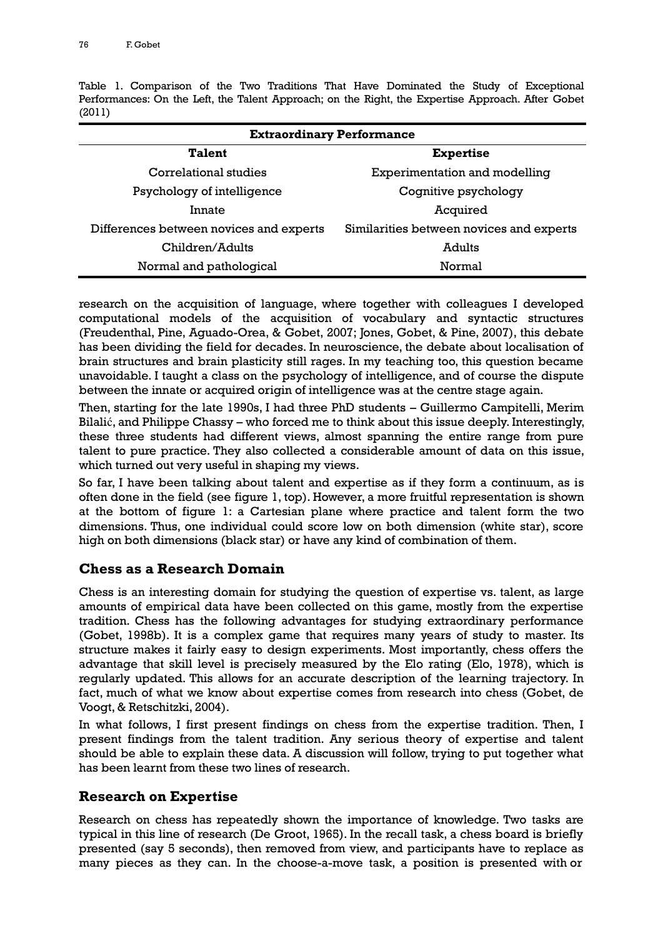Table 1. Comparison of the Two Traditions That Have Dominated the Study of Exceptional Performances: On the Left, the Talent Approach; on the Right, the Expertise Approach. After Gobet (2011)

| <b>Extraordinary Performance</b>        |                                          |
|-----------------------------------------|------------------------------------------|
| <b>Talent</b>                           | <b>Expertise</b>                         |
| Correlational studies                   | Experimentation and modelling            |
| Psychology of intelligence              | Cognitive psychology                     |
| Innate                                  | Acquired                                 |
| Differences between novices and experts | Similarities between novices and experts |
| Children/Adults                         | Adults                                   |
| Normal and pathological                 | Normal                                   |

research on the acquisition of language, where together with colleagues I developed computational models of the acquisition of vocabulary and syntactic structures (Freudenthal, Pine, Aguado-Orea, & Gobet, 2007; Jones, Gobet, & Pine, 2007), this debate has been dividing the field for decades. In neuroscience, the debate about localisation of brain structures and brain plasticity still rages. In my teaching too, this question became unavoidable. I taught a class on the psychology of intelligence, and of course the dispute between the innate or acquired origin of intelligence was at the centre stage again.

Then, starting for the late 1990s, I had three PhD students – Guillermo Campitelli, Merim Bilalić, and Philippe Chassy – who forced me to think about this issue deeply. Interestingly, these three students had different views, almost spanning the entire range from pure talent to pure practice. They also collected a considerable amount of data on this issue, which turned out very useful in shaping my views.

So far, I have been talking about talent and expertise as if they form a continuum, as is often done in the field (see figure 1, top). However, a more fruitful representation is shown at the bottom of figure 1: a Cartesian plane where practice and talent form the two dimensions. Thus, one individual could score low on both dimension (white star), score high on both dimensions (black star) or have any kind of combination of them.

# **Chess as a Research Domain**

Chess is an interesting domain for studying the question of expertise vs. talent, as large amounts of empirical data have been collected on this game, mostly from the expertise tradition. Chess has the following advantages for studying extraordinary performance (Gobet, 1998b). It is a complex game that requires many years of study to master. Its structure makes it fairly easy to design experiments. Most importantly, chess offers the advantage that skill level is precisely measured by the Elo rating (Elo, 1978), which is regularly updated. This allows for an accurate description of the learning trajectory. In fact, much of what we know about expertise comes from research into chess (Gobet, de Voogt, & Retschitzki, 2004).

In what follows, I first present findings on chess from the expertise tradition. Then, I present findings from the talent tradition. Any serious theory of expertise and talent should be able to explain these data. A discussion will follow, trying to put together what has been learnt from these two lines of research.

## **Research on Expertise**

Research on chess has repeatedly shown the importance of knowledge. Two tasks are typical in this line of research (De Groot, 1965). In the recall task, a chess board is briefly presented (say 5 seconds), then removed from view, and participants have to replace as many pieces as they can. In the choose-a-move task, a position is presented with or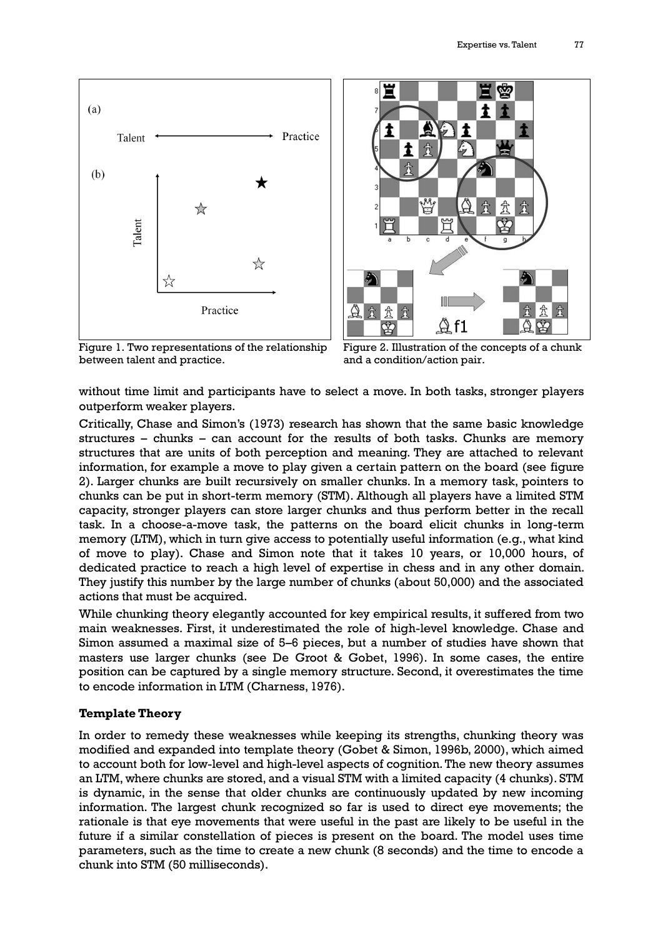



Figure 1. Two representations of the relationship between talent and practice.

Figure 2. Illustration of the concepts of a chunk and a condition/action pair.

without time limit and participants have to select a move. In both tasks, stronger players outperform weaker players.

Critically, Chase and Simon's (1973) research has shown that the same basic knowledge structures – chunks – can account for the results of both tasks. Chunks are memory structures that are units of both perception and meaning. They are attached to relevant information, for example a move to play given a certain pattern on the board (see figure 2). Larger chunks are built recursively on smaller chunks. In a memory task, pointers to chunks can be put in short-term memory (STM). Although all players have a limited STM capacity, stronger players can store larger chunks and thus perform better in the recall task. In a choose-a-move task, the patterns on the board elicit chunks in long-term memory (LTM), which in turn give access to potentially useful information (e.g., what kind of move to play). Chase and Simon note that it takes 10 years, or 10,000 hours, of dedicated practice to reach a high level of expertise in chess and in any other domain. They justify this number by the large number of chunks (about 50,000) and the associated actions that must be acquired.

While chunking theory elegantly accounted for key empirical results, it suffered from two main weaknesses. First, it underestimated the role of high-level knowledge. Chase and Simon assumed a maximal size of 5–6 pieces, but a number of studies have shown that masters use larger chunks (see De Groot & Gobet, 1996). In some cases, the entire position can be captured by a single memory structure. Second, it overestimates the time to encode information in LTM (Charness, 1976).

## **Template Theory**

In order to remedy these weaknesses while keeping its strengths, chunking theory was modified and expanded into template theory (Gobet & Simon, 1996b, 2000), which aimed to account both for low-level and high-level aspects of cognition. The new theory assumes an LTM, where chunks are stored, and a visual STM with a limited capacity (4 chunks). STM is dynamic, in the sense that older chunks are continuously updated by new incoming information. The largest chunk recognized so far is used to direct eye movements; the rationale is that eye movements that were useful in the past are likely to be useful in the future if a similar constellation of pieces is present on the board. The model uses time parameters, such as the time to create a new chunk (8 seconds) and the time to encode a chunk into STM (50 milliseconds).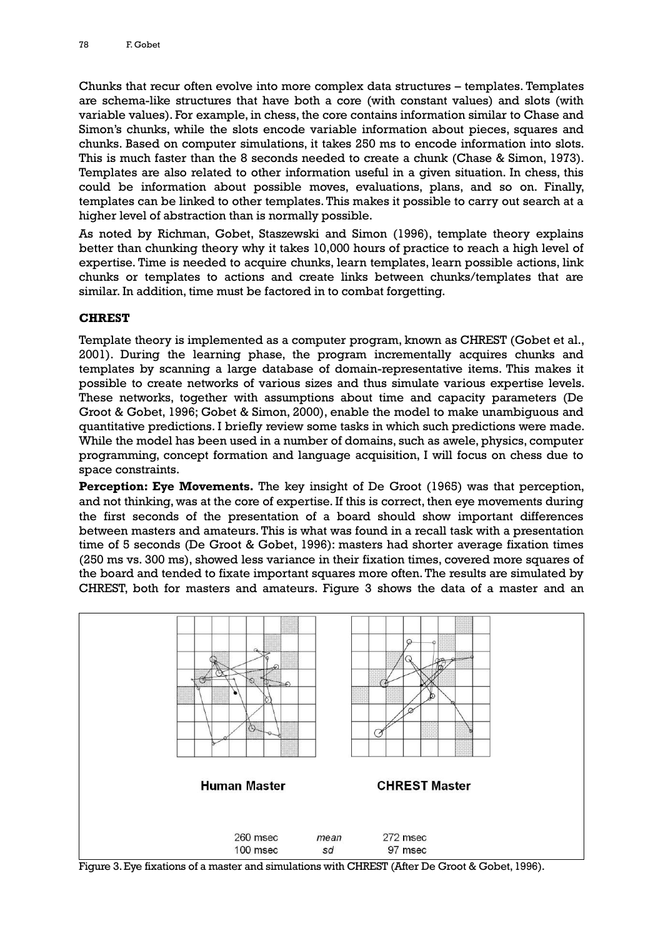Chunks that recur often evolve into more complex data structures – templates. Templates are schema-like structures that have both a core (with constant values) and slots (with variable values). For example, in chess, the core contains information similar to Chase and Simon's chunks, while the slots encode variable information about pieces, squares and chunks. Based on computer simulations, it takes 250 ms to encode information into slots. This is much faster than the 8 seconds needed to create a chunk (Chase & Simon, 1973). Templates are also related to other information useful in a given situation. In chess, this could be information about possible moves, evaluations, plans, and so on. Finally, templates can be linked to other templates. This makes it possible to carry out search at a higher level of abstraction than is normally possible.

As noted by Richman, Gobet, Staszewski and Simon (1996), template theory explains better than chunking theory why it takes 10,000 hours of practice to reach a high level of expertise. Time is needed to acquire chunks, learn templates, learn possible actions, link chunks or templates to actions and create links between chunks/templates that are similar. In addition, time must be factored in to combat forgetting.

## **CHREST**

Template theory is implemented as a computer program, known as CHREST (Gobet et al., 2001). During the learning phase, the program incrementally acquires chunks and templates by scanning a large database of domain-representative items. This makes it possible to create networks of various sizes and thus simulate various expertise levels. These networks, together with assumptions about time and capacity parameters (De Groot & Gobet, 1996; Gobet & Simon, 2000), enable the model to make unambiguous and quantitative predictions. I briefly review some tasks in which such predictions were made. While the model has been used in a number of domains, such as awele, physics, computer programming, concept formation and language acquisition, I will focus on chess due to space constraints.

**Perception: Eye Movements.** The key insight of De Groot (1965) was that perception, and not thinking, was at the core of expertise. If this is correct, then eye movements during the first seconds of the presentation of a board should show important differences between masters and amateurs. This is what was found in a recall task with a presentation time of 5 seconds (De Groot & Gobet, 1996): masters had shorter average fixation times (250 ms vs. 300 ms), showed less variance in their fixation times, covered more squares of the board and tended to fixate important squares more often. The results are simulated by CHREST, both for masters and amateurs. Figure 3 shows the data of a master and an



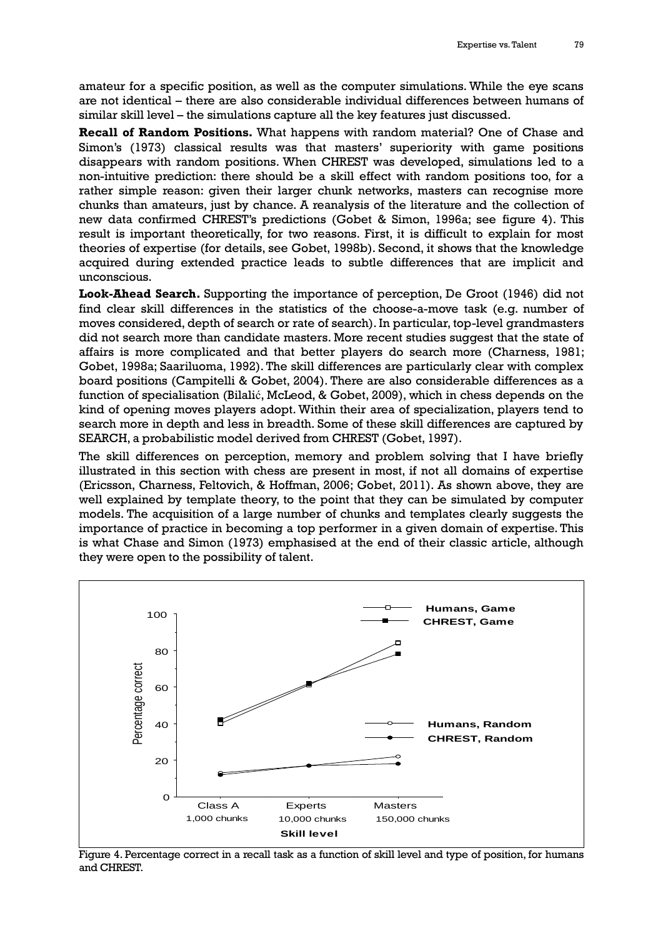amateur for a specific position, as well as the computer simulations. While the eye scans are not identical – there are also considerable individual differences between humans of similar skill level – the simulations capture all the key features just discussed.

**Recall of Random Positions.** What happens with random material? One of Chase and Simon's (1973) classical results was that masters' superiority with game positions disappears with random positions. When CHREST was developed, simulations led to a non-intuitive prediction: there should be a skill effect with random positions too, for a rather simple reason: given their larger chunk networks, masters can recognise more chunks than amateurs, just by chance. A reanalysis of the literature and the collection of new data confirmed CHREST's predictions (Gobet & Simon, 1996a; see figure 4). This result is important theoretically, for two reasons. First, it is difficult to explain for most theories of expertise (for details, see Gobet, 1998b). Second, it shows that the knowledge acquired during extended practice leads to subtle differences that are implicit and unconscious.

**Look-Ahead Search.** Supporting the importance of perception, De Groot (1946) did not find clear skill differences in the statistics of the choose-a-move task (e.g. number of moves considered, depth of search or rate of search). In particular, top-level grandmasters did not search more than candidate masters. More recent studies suggest that the state of affairs is more complicated and that better players do search more (Charness, 1981; Gobet, 1998a; Saariluoma, 1992). The skill differences are particularly clear with complex board positions (Campitelli & Gobet, 2004). There are also considerable differences as a function of specialisation (Bilalić, McLeod, & Gobet, 2009), which in chess depends on the kind of opening moves players adopt. Within their area of specialization, players tend to search more in depth and less in breadth. Some of these skill differences are captured by SEARCH, a probabilistic model derived from CHREST (Gobet, 1997).

The skill differences on perception, memory and problem solving that I have briefly illustrated in this section with chess are present in most, if not all domains of expertise (Ericsson, Charness, Feltovich, & Hoffman, 2006; Gobet, 2011). As shown above, they are well explained by template theory, to the point that they can be simulated by computer models. The acquisition of a large number of chunks and templates clearly suggests the importance of practice in becoming a top performer in a given domain of expertise. This is what Chase and Simon (1973) emphasised at the end of their classic article, although they were open to the possibility of talent.



Figure 4. Percentage correct in a recall task as a function of skill level and type of position, for humans and CHREST.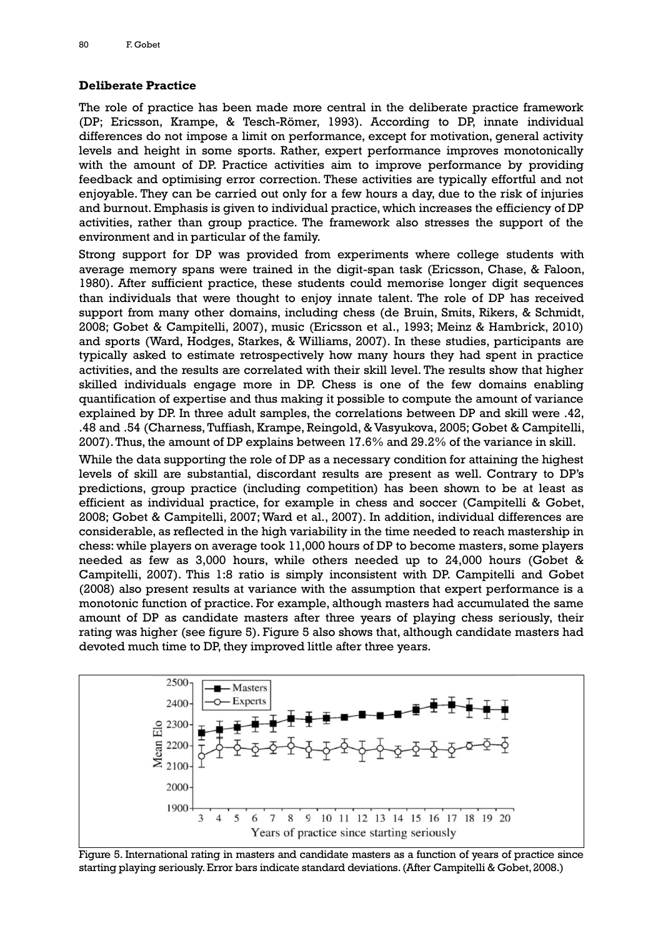## **Deliberate Practice**

The role of practice has been made more central in the deliberate practice framework (DP; Ericsson, Krampe, & Tesch-Römer, 1993). According to DP, innate individual differences do not impose a limit on performance, except for motivation, general activity levels and height in some sports. Rather, expert performance improves monotonically with the amount of DP. Practice activities aim to improve performance by providing feedback and optimising error correction. These activities are typically effortful and not enjoyable. They can be carried out only for a few hours a day, due to the risk of injuries and burnout. Emphasis is given to individual practice, which increases the efficiency of DP activities, rather than group practice. The framework also stresses the support of the environment and in particular of the family.

Strong support for DP was provided from experiments where college students with average memory spans were trained in the digit-span task (Ericsson, Chase, & Faloon, 1980). After sufficient practice, these students could memorise longer digit sequences than individuals that were thought to enjoy innate talent. The role of DP has received support from many other domains, including chess (de Bruin, Smits, Rikers, & Schmidt, 2008; Gobet & Campitelli, 2007), music (Ericsson et al., 1993; Meinz & Hambrick, 2010) and sports (Ward, Hodges, Starkes, & Williams, 2007). In these studies, participants are typically asked to estimate retrospectively how many hours they had spent in practice activities, and the results are correlated with their skill level. The results show that higher skilled individuals engage more in DP. Chess is one of the few domains enabling quantification of expertise and thus making it possible to compute the amount of variance explained by DP. In three adult samples, the correlations between DP and skill were .42, .48 and .54 (Charness, Tuffiash, Krampe, Reingold, & Vasyukova, 2005; Gobet & Campitelli, 2007). Thus, the amount of DP explains between 17.6% and 29.2% of the variance in skill.

While the data supporting the role of DP as a necessary condition for attaining the highest levels of skill are substantial, discordant results are present as well. Contrary to DP's predictions, group practice (including competition) has been shown to be at least as efficient as individual practice, for example in chess and soccer (Campitelli & Gobet, 2008; Gobet & Campitelli, 2007; Ward et al., 2007). In addition, individual differences are considerable, as reflected in the high variability in the time needed to reach mastership in chess: while players on average took 11,000 hours of DP to become masters, some players needed as few as 3,000 hours, while others needed up to 24,000 hours (Gobet & Campitelli, 2007). This 1:8 ratio is simply inconsistent with DP. Campitelli and Gobet (2008) also present results at variance with the assumption that expert performance is a monotonic function of practice. For example, although masters had accumulated the same amount of DP as candidate masters after three years of playing chess seriously, their rating was higher (see figure 5). Figure 5 also shows that, although candidate masters had devoted much time to DP, they improved little after three years.



Figure 5. International rating in masters and candidate masters as a function of years of practice since starting playing seriously. Error bars indicate standard deviations. (After Campitelli & Gobet, 2008.)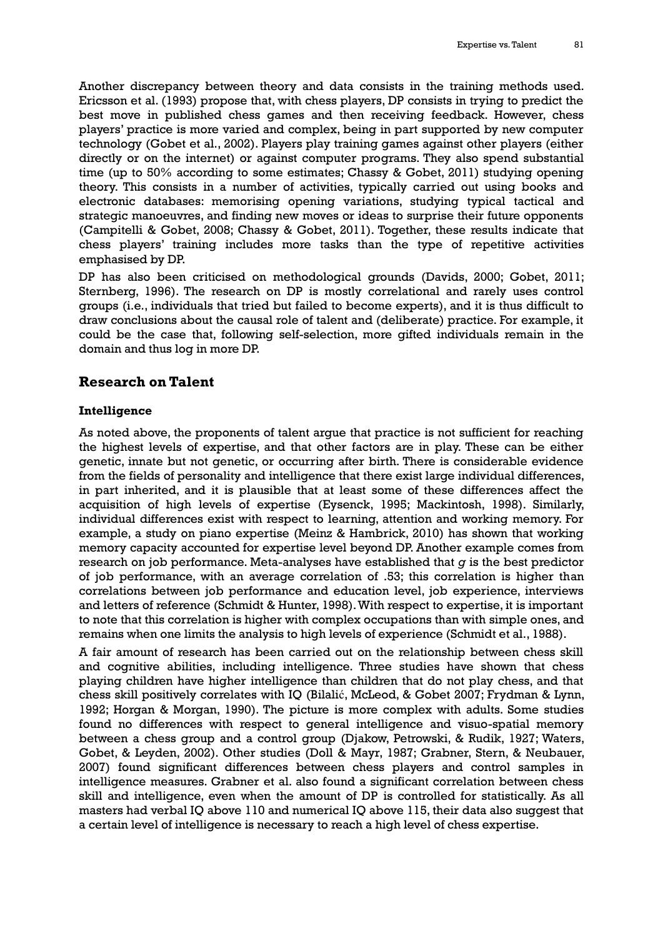Another discrepancy between theory and data consists in the training methods used. Ericsson et al. (1993) propose that, with chess players, DP consists in trying to predict the best move in published chess games and then receiving feedback. However, chess players' practice is more varied and complex, being in part supported by new computer technology (Gobet et al., 2002). Players play training games against other players (either directly or on the internet) or against computer programs. They also spend substantial time (up to 50% according to some estimates; Chassy & Gobet, 2011) studying opening theory. This consists in a number of activities, typically carried out using books and electronic databases: memorising opening variations, studying typical tactical and strategic manoeuvres, and finding new moves or ideas to surprise their future opponents (Campitelli & Gobet, 2008; Chassy & Gobet, 2011). Together, these results indicate that chess players' training includes more tasks than the type of repetitive activities emphasised by DP.

DP has also been criticised on methodological grounds (Davids, 2000; Gobet, 2011; Sternberg, 1996). The research on DP is mostly correlational and rarely uses control groups (i.e., individuals that tried but failed to become experts), and it is thus difficult to draw conclusions about the causal role of talent and (deliberate) practice. For example, it could be the case that, following self-selection, more gifted individuals remain in the domain and thus log in more DP.

# **Research on Talent**

## **Intelligence**

As noted above, the proponents of talent argue that practice is not sufficient for reaching the highest levels of expertise, and that other factors are in play. These can be either genetic, innate but not genetic, or occurring after birth. There is considerable evidence from the fields of personality and intelligence that there exist large individual differences, in part inherited, and it is plausible that at least some of these differences affect the acquisition of high levels of expertise (Eysenck, 1995; Mackintosh, 1998). Similarly, individual differences exist with respect to learning, attention and working memory. For example, a study on piano expertise (Meinz & Hambrick, 2010) has shown that working memory capacity accounted for expertise level beyond DP. Another example comes from research on job performance. Meta-analyses have established that *g* is the best predictor of job performance, with an average correlation of .53; this correlation is higher than correlations between job performance and education level, job experience, interviews and letters of reference (Schmidt & Hunter, 1998). With respect to expertise, it is important to note that this correlation is higher with complex occupations than with simple ones, and remains when one limits the analysis to high levels of experience (Schmidt et al., 1988).

A fair amount of research has been carried out on the relationship between chess skill and cognitive abilities, including intelligence. Three studies have shown that chess playing children have higher intelligence than children that do not play chess, and that chess skill positively correlates with IQ (Bilalić, McLeod, & Gobet 2007; Frydman & Lynn, 1992; Horgan & Morgan, 1990). The picture is more complex with adults. Some studies found no differences with respect to general intelligence and visuo-spatial memory between a chess group and a control group (Djakow, Petrowski, & Rudik, 1927; Waters, Gobet, & Leyden, 2002). Other studies (Doll & Mayr, 1987; Grabner, Stern, & Neubauer, 2007) found significant differences between chess players and control samples in intelligence measures. Grabner et al. also found a significant correlation between chess skill and intelligence, even when the amount of DP is controlled for statistically. As all masters had verbal IQ above 110 and numerical IQ above 115, their data also suggest that a certain level of intelligence is necessary to reach a high level of chess expertise.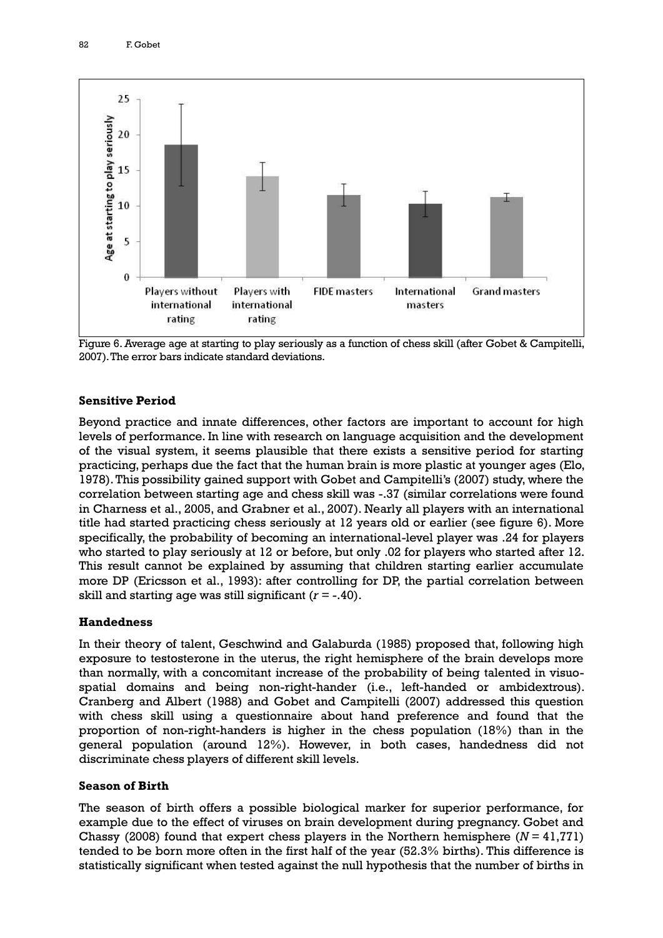

Figure 6. Average age at starting to play seriously as a function of chess skill (after Gobet & Campitelli, 2007). The error bars indicate standard deviations.

## **Sensitive Period**

Beyond practice and innate differences, other factors are important to account for high levels of performance. In line with research on language acquisition and the development of the visual system, it seems plausible that there exists a sensitive period for starting practicing, perhaps due the fact that the human brain is more plastic at younger ages (Elo, 1978). This possibility gained support with Gobet and Campitelli's (2007) study, where the correlation between starting age and chess skill was -.37 (similar correlations were found in Charness et al., 2005, and Grabner et al., 2007). Nearly all players with an international title had started practicing chess seriously at 12 years old or earlier (see figure 6). More specifically, the probability of becoming an international-level player was .24 for players who started to play seriously at 12 or before, but only .02 for players who started after 12. This result cannot be explained by assuming that children starting earlier accumulate more DP (Ericsson et al., 1993): after controlling for DP, the partial correlation between skill and starting age was still significant  $(r = -.40)$ .

#### **Handedness**

In their theory of talent, Geschwind and Galaburda (1985) proposed that, following high exposure to testosterone in the uterus, the right hemisphere of the brain develops more than normally, with a concomitant increase of the probability of being talented in visuospatial domains and being non-right-hander (i.e., left-handed or ambidextrous). Cranberg and Albert (1988) and Gobet and Campitelli (2007) addressed this question with chess skill using a questionnaire about hand preference and found that the proportion of non-right-handers is higher in the chess population (18%) than in the general population (around 12%). However, in both cases, handedness did not discriminate chess players of different skill levels.

#### **Season of Birth**

The season of birth offers a possible biological marker for superior performance, for example due to the effect of viruses on brain development during pregnancy. Gobet and Chassy (2008) found that expert chess players in the Northern hemisphere  $(N = 41,771)$ tended to be born more often in the first half of the year (52.3% births). This difference is statistically significant when tested against the null hypothesis that the number of births in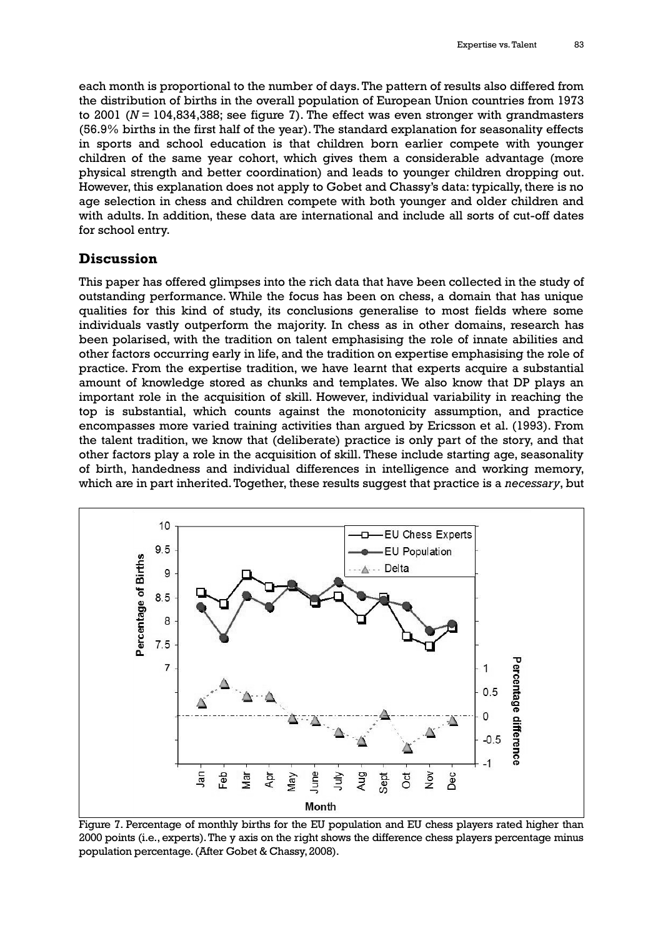each month is proportional to the number of days. The pattern of results also differed from the distribution of births in the overall population of European Union countries from 1973 to 2001 (*N* = 104,834,388; see figure 7). The effect was even stronger with grandmasters (56.9% births in the first half of the year). The standard explanation for seasonality effects in sports and school education is that children born earlier compete with younger children of the same year cohort, which gives them a considerable advantage (more physical strength and better coordination) and leads to younger children dropping out. However, this explanation does not apply to Gobet and Chassy's data: typically, there is no age selection in chess and children compete with both younger and older children and with adults. In addition, these data are international and include all sorts of cut-off dates for school entry.

## **Discussion**

This paper has offered glimpses into the rich data that have been collected in the study of outstanding performance. While the focus has been on chess, a domain that has unique qualities for this kind of study, its conclusions generalise to most fields where some individuals vastly outperform the majority. In chess as in other domains, research has been polarised, with the tradition on talent emphasising the role of innate abilities and other factors occurring early in life, and the tradition on expertise emphasising the role of practice. From the expertise tradition, we have learnt that experts acquire a substantial amount of knowledge stored as chunks and templates. We also know that DP plays an important role in the acquisition of skill. However, individual variability in reaching the top is substantial, which counts against the monotonicity assumption, and practice encompasses more varied training activities than argued by Ericsson et al. (1993). From the talent tradition, we know that (deliberate) practice is only part of the story, and that other factors play a role in the acquisition of skill. These include starting age, seasonality of birth, handedness and individual differences in intelligence and working memory, which are in part inherited. Together, these results suggest that practice is a *necessary*, but



Figure 7. Percentage of monthly births for the EU population and EU chess players rated higher than 2000 points (i.e., experts). The y axis on the right shows the difference chess players percentage minus population percentage. (After Gobet & Chassy, 2008).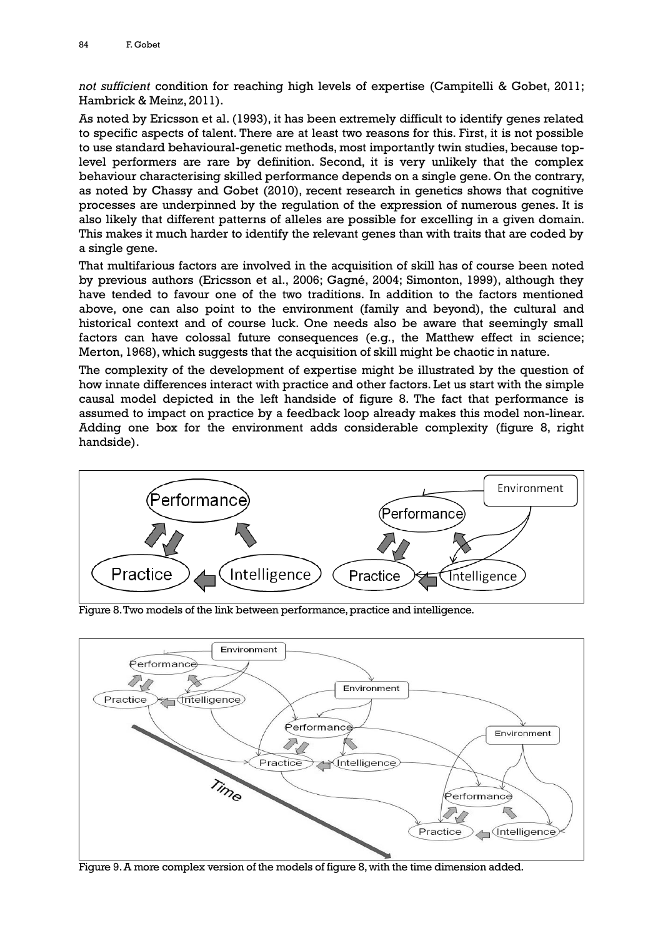*not sufficient* condition for reaching high levels of expertise (Campitelli & Gobet, 2011; Hambrick & Meinz, 2011).

As noted by Ericsson et al. (1993), it has been extremely difficult to identify genes related to specific aspects of talent. There are at least two reasons for this. First, it is not possible to use standard behavioural-genetic methods, most importantly twin studies, because toplevel performers are rare by definition. Second, it is very unlikely that the complex behaviour characterising skilled performance depends on a single gene. On the contrary, as noted by Chassy and Gobet (2010), recent research in genetics shows that cognitive processes are underpinned by the regulation of the expression of numerous genes. It is also likely that different patterns of alleles are possible for excelling in a given domain. This makes it much harder to identify the relevant genes than with traits that are coded by a single gene.

That multifarious factors are involved in the acquisition of skill has of course been noted by previous authors (Ericsson et al., 2006; Gagné, 2004; Simonton, 1999), although they have tended to favour one of the two traditions. In addition to the factors mentioned above, one can also point to the environment (family and beyond), the cultural and historical context and of course luck. One needs also be aware that seemingly small factors can have colossal future consequences (e.g., the Matthew effect in science; Merton, 1968), which suggests that the acquisition of skill might be chaotic in nature.

The complexity of the development of expertise might be illustrated by the question of how innate differences interact with practice and other factors. Let us start with the simple causal model depicted in the left handside of figure 8. The fact that performance is assumed to impact on practice by a feedback loop already makes this model non-linear. Adding one box for the environment adds considerable complexity (figure 8, right handside).



Figure 8.Two models of the link between performance, practice and intelligence.



Figure 9. A more complex version of the models of figure 8, with the time dimension added.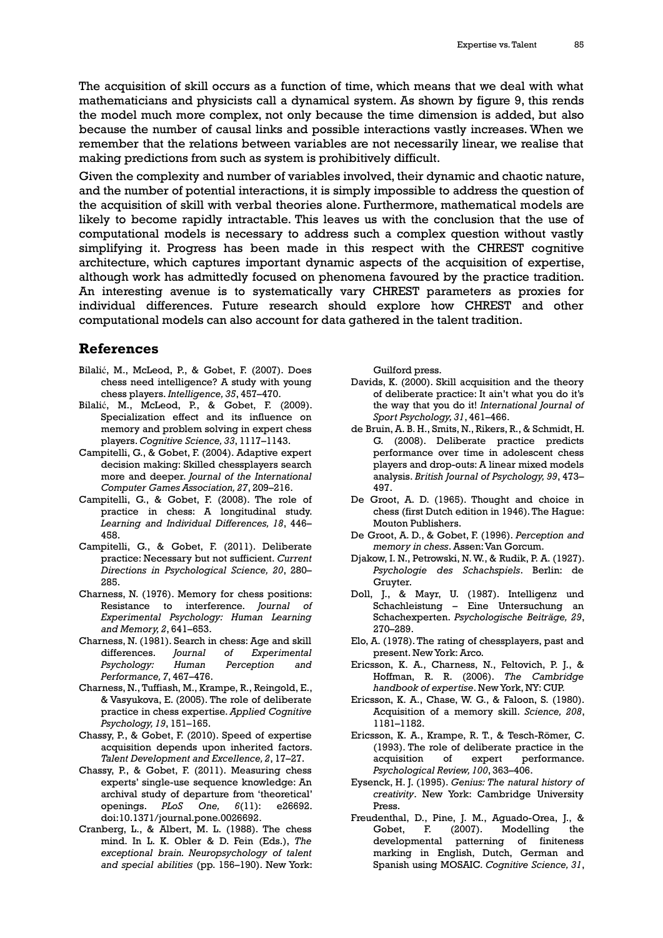The acquisition of skill occurs as a function of time, which means that we deal with what mathematicians and physicists call a dynamical system. As shown by figure 9, this rends the model much more complex, not only because the time dimension is added, but also because the number of causal links and possible interactions vastly increases. When we remember that the relations between variables are not necessarily linear, we realise that making predictions from such as system is prohibitively difficult.

Given the complexity and number of variables involved, their dynamic and chaotic nature, and the number of potential interactions, it is simply impossible to address the question of the acquisition of skill with verbal theories alone. Furthermore, mathematical models are likely to become rapidly intractable. This leaves us with the conclusion that the use of computational models is necessary to address such a complex question without vastly simplifying it. Progress has been made in this respect with the CHREST cognitive architecture, which captures important dynamic aspects of the acquisition of expertise, although work has admittedly focused on phenomena favoured by the practice tradition. An interesting avenue is to systematically vary CHREST parameters as proxies for individual differences. Future research should explore how CHREST and other computational models can also account for data gathered in the talent tradition.

#### **References**

- Bilalić, M., McLeod, P., & Gobet, F. (2007). Does chess need intelligence? A study with young chess players. *Intelligence, 35*, 457–470.
- Bilalić, M., McLeod, P., & Gobet, F. (2009). Specialization effect and its influence on memory and problem solving in expert chess players. *Cognitive Science, 33*, 1117–1143.
- Campitelli, G., & Gobet, F. (2004). Adaptive expert decision making: Skilled chessplayers search more and deeper. *Journal of the International Computer Games Association, 27*, 209–216.
- Campitelli, G., & Gobet, F. (2008). The role of practice in chess: A longitudinal study. *Learning and Individual Differences, 18*, 446– 458.
- Campitelli, G., & Gobet, F. (2011). Deliberate practice: Necessary but not sufficient. *Current Directions in Psychological Science, 20*, 280– 285.
- Charness, N. (1976). Memory for chess positions: Resistance to interference. *Journal of Experimental Psychology: Human Learning and Memory, 2*, 641–653.
- Charness, N. (1981). Search in chess: Age and skill differences. *Journal of Experimental Psychology: Human Perception and Performance, 7*, 467–476.
- Charness, N., Tuffiash, M., Krampe, R., Reingold, E., & Vasyukova, E. (2005). The role of deliberate practice in chess expertise. *Applied Cognitive Psychology, 19*, 151–165.
- Chassy, P., & Gobet, F. (2010). Speed of expertise acquisition depends upon inherited factors. *Talent Development and Excellence, 2*, 17–27.
- Chassy, P., & Gobet, F. (2011). Measuring chess experts' single-use sequence knowledge: An archival study of departure from 'theoretical' openings. *PLoS One, 6*(11): e26692. doi:10.1371/journal.pone.0026692.
- Cranberg, L., & Albert, M. L. (1988). The chess mind. In L. K. Obler & D. Fein (Eds.), *The exceptional brain. Neuropsychology of talent and special abilities* (pp. 156–190). New York:

Guilford press.

- Davids, K. (2000). Skill acquisition and the theory of deliberate practice: It ain't what you do it's the way that you do it! *International Journal of Sport Psychology, 31*, 461–466.
- de Bruin, A. B. H., Smits, N., Rikers, R., & Schmidt, H. G. (2008). Deliberate practice predicts performance over time in adolescent chess players and drop-outs: A linear mixed models analysis. *British Journal of Psychology, 99*, 473– 497.
- De Groot, A. D. (1965). Thought and choice in chess (first Dutch edition in 1946). The Hague: Mouton Publishers.
- De Groot, A. D., & Gobet, F. (1996). *Perception and memory in chess*. Assen: Van Gorcum.
- Djakow, I. N., Petrowski, N. W., & Rudik, P. A. (1927). *Psychologie des Schachspiels*. Berlin: de Gruyter.
- Doll, J., & Mayr, U. (1987). Intelligenz und Schachleistung – Eine Untersuchung an Schachexperten. *Psychologische Beiträge, 29*, 270–289.
- Elo, A. (1978). The rating of chessplayers, past and present. New York: Arco.
- Ericsson, K. A., Charness, N., Feltovich, P. J., & Hoffman, R. R. (2006). *The Cambridge handbook of expertise*. New York, NY: CUP.
- Ericsson, K. A., Chase, W. G., & Faloon, S. (1980). Acquisition of a memory skill. *Science, 208*, 1181–1182.
- Ericsson, K. A., Krampe, R. T., & Tesch-Römer, C. (1993). The role of deliberate practice in the acquisition of expert performance. *Psychological Review, 100*, 363–406.
- Eysenck, H. J. (1995). *Genius: The natural history of creativity*. New York: Cambridge University Press.
- Freudenthal, D., Pine, J. M., Aguado-Orea, J., & Gobet, F. (2007). Modelling the developmental patterning of finiteness marking in English, Dutch, German and Spanish using MOSAIC. *Cognitive Science, 31*,